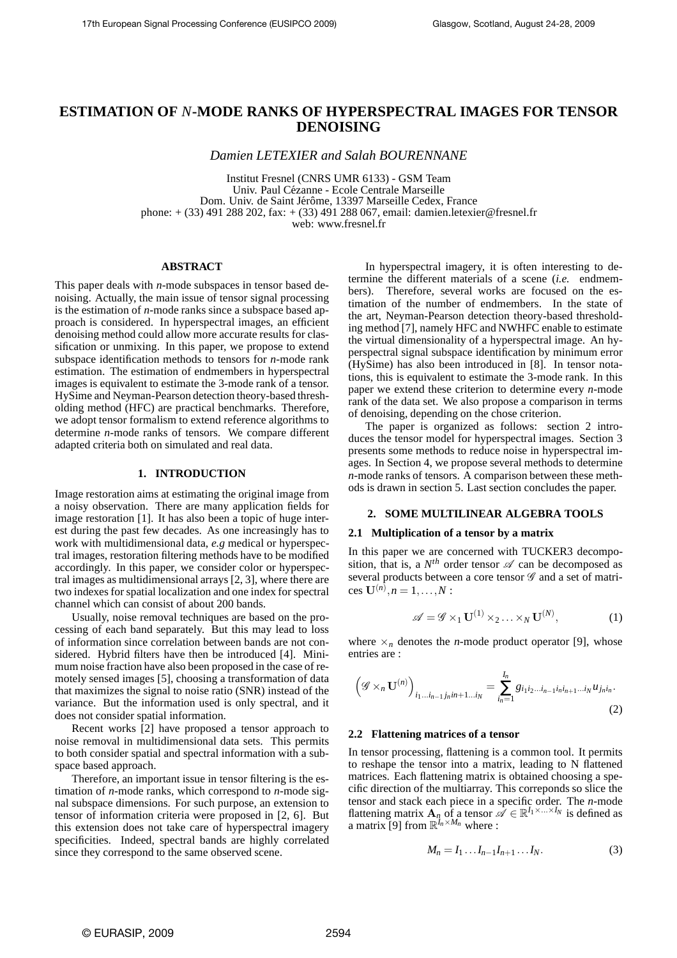# **ESTIMATION OF** *N***-MODE RANKS OF HYPERSPECTRAL IMAGES FOR TENSOR DENOISING**

*Damien LETEXIER and Salah BOURENNANE*

Institut Fresnel (CNRS UMR 6133) - GSM Team Univ. Paul Cézanne - Ecole Centrale Marseille Dom. Univ. de Saint Jérôme, 13397 Marseille Cedex, France phone: + (33) 491 288 202, fax: + (33) 491 288 067, email: damien.letexier@fresnel.fr web: www.fresnel.fr

## **ABSTRACT**

This paper deals with *n*-mode subspaces in tensor based denoising. Actually, the main issue of tensor signal processing is the estimation of *n*-mode ranks since a subspace based approach is considered. In hyperspectral images, an efficient denoising method could allow more accurate results for classification or unmixing. In this paper, we propose to extend subspace identification methods to tensors for *n*-mode rank estimation. The estimation of endmembers in hyperspectral images is equivalent to estimate the 3-mode rank of a tensor. HySime and Neyman-Pearson detection theory-based thresholding method (HFC) are practical benchmarks. Therefore, we adopt tensor formalism to extend reference algorithms to determine *n*-mode ranks of tensors. We compare different adapted criteria both on simulated and real data.

## **1. INTRODUCTION**

Image restoration aims at estimating the original image from a noisy observation. There are many application fields for image restoration [1]. It has also been a topic of huge interest during the past few decades. As one increasingly has to work with multidimensional data, *e.g* medical or hyperspectral images, restoration filtering methods have to be modified accordingly. In this paper, we consider color or hyperspectral images as multidimensional arrays [2, 3], where there are two indexes for spatial localization and one index for spectral channel which can consist of about 200 bands.

Usually, noise removal techniques are based on the processing of each band separately. But this may lead to loss of information since correlation between bands are not considered. Hybrid filters have then be introduced [4]. Minimum noise fraction have also been proposed in the case of remotely sensed images [5], choosing a transformation of data that maximizes the signal to noise ratio (SNR) instead of the variance. But the information used is only spectral, and it does not consider spatial information.

Recent works [2] have proposed a tensor approach to noise removal in multidimensional data sets. This permits to both consider spatial and spectral information with a subspace based approach.

Therefore, an important issue in tensor filtering is the estimation of *n*-mode ranks, which correspond to *n*-mode signal subspace dimensions. For such purpose, an extension to tensor of information criteria were proposed in [2, 6]. But this extension does not take care of hyperspectral imagery specificities. Indeed, spectral bands are highly correlated since they correspond to the same observed scene.

In hyperspectral imagery, it is often interesting to determine the different materials of a scene (*i.e.* endmembers). Therefore, several works are focused on the estimation of the number of endmembers. In the state of the art, Neyman-Pearson detection theory-based thresholding method [7], namely HFC and NWHFC enable to estimate the virtual dimensionality of a hyperspectral image. An hyperspectral signal subspace identification by minimum error (HySime) has also been introduced in [8]. In tensor notations, this is equivalent to estimate the 3-mode rank. In this paper we extend these criterion to determine every *n*-mode rank of the data set. We also propose a comparison in terms of denoising, depending on the chose criterion.

The paper is organized as follows: section 2 introduces the tensor model for hyperspectral images. Section 3 presents some methods to reduce noise in hyperspectral images. In Section 4, we propose several methods to determine *n*-mode ranks of tensors. A comparison between these methods is drawn in section 5. Last section concludes the paper.

#### **2. SOME MULTILINEAR ALGEBRA TOOLS**

#### **2.1 Multiplication of a tensor by a matrix**

In this paper we are concerned with TUCKER3 decomposition, that is, a  $N^{th}$  order tensor  $\mathscr A$  can be decomposed as several products between a core tensor  $\mathscr G$  and a set of matrices  $U^{(n)}, n = 1, ..., N$ :

$$
\mathscr{A} = \mathscr{G} \times_1 \mathbf{U}^{(1)} \times_2 \dots \times_N \mathbf{U}^{(N)},\tag{1}
$$

where  $\times_n$  denotes the *n*-mode product operator [9], whose entries are :

$$
\left(\mathcal{G} \times_{n} \mathbf{U}^{(n)}\right)_{i_{1}...i_{n-1}j_{n}in+1...i_{N}} = \sum_{i_{n}=1}^{I_{n}} g_{i_{1}i_{2}...i_{n-1}i_{n}i_{n+1}...i_{N}} u_{j_{n}i_{n}}.
$$
\n(2)

#### **2.2 Flattening matrices of a tensor**

In tensor processing, flattening is a common tool. It permits to reshape the tensor into a matrix, leading to N flattened matrices. Each flattening matrix is obtained choosing a specific direction of the multiarray. This correponds so slice the tensor and stack each piece in a specific order. The *n*-mode flattening matrix  $\mathbf{A}_n$  of a tensor  $\mathscr{A} \in \mathbb{R}^{I_1 \times \ldots \times I_N}$  is defined as a matrix [9] from  $\mathbb{R}^{\tilde{I}_n \times M_n}$  where :

$$
M_n = I_1 \dots I_{n-1} I_{n+1} \dots I_N. \tag{3}
$$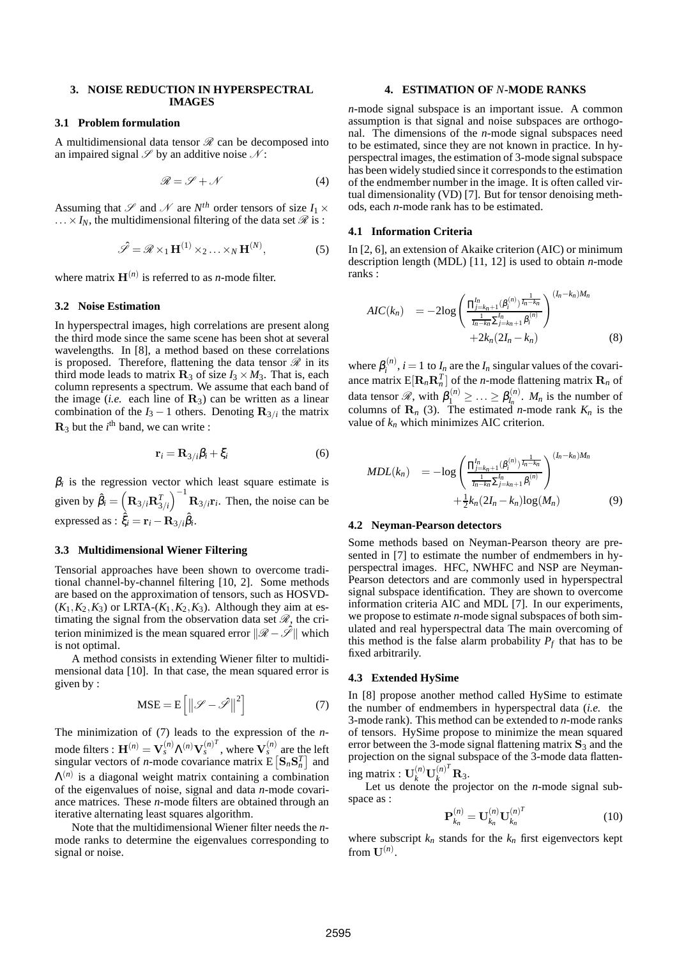## **3. NOISE REDUCTION IN HYPERSPECTRAL IMAGES**

#### **3.1 Problem formulation**

A multidimensional data tensor  $\mathcal R$  can be decomposed into an impaired signal  $\mathscr S$  by an additive noise  $\mathscr N$ :

$$
\mathcal{R} = \mathcal{S} + \mathcal{N} \tag{4}
$$

Assuming that  $\mathscr S$  and  $\mathscr N$  are  $N^{th}$  order tensors of size  $I_1 \times$  $\ldots \times I_N$ , the multidimensional filtering of the data set  $\mathscr R$  is :

$$
\hat{\mathscr{S}} = \mathscr{R} \times_1 \mathbf{H}^{(1)} \times_2 \dots \times_N \mathbf{H}^{(N)},
$$
 (5)

where matrix  $\mathbf{H}^{(n)}$  is referred to as *n*-mode filter.

#### **3.2 Noise Estimation**

In hyperspectral images, high correlations are present along the third mode since the same scene has been shot at several wavelengths. In [8], a method based on these correlations is proposed. Therefore, flattening the data tensor  $\mathscr R$  in its third mode leads to matrix  $\mathbf{R}_3$  of size  $I_3 \times M_3$ . That is, each column represents a spectrum. We assume that each band of the image (*i.e.* each line of  $\mathbf{R}_3$ ) can be written as a linear combination of the  $I_3 - 1$  others. Denoting  $\mathbf{R}_{3/i}$  the matrix  $\mathbf{R}_3$  but the  $i^{\text{th}}$  band, we can write :

$$
\mathbf{r}_{i} = \mathbf{R}_{3/i}\beta_{i} + \xi_{i}
$$
 (6)

 $\beta_i$  is the regression vector which least square estimate is given by  $\hat{\beta}_i = \left(\mathbf{R}_{3/i}\mathbf{R}_{3/i}^T\right)^{-1}\mathbf{R}_{3/i}\mathbf{r}_i$ . Then, the noise can be expressed as :  $\hat{\xi}_i = \mathbf{r}_i - \mathbf{R}_{3/i} \hat{\beta}_i$ .

#### **3.3 Multidimensional Wiener Filtering**

Tensorial approaches have been shown to overcome traditional channel-by-channel filtering [10, 2]. Some methods are based on the approximation of tensors, such as HOSVD-  $(K_1, K_2, K_3)$  or LRTA- $(K_1, K_2, K_3)$ . Although they aim at estimating the signal from the observation data set  $\mathcal{R}$ , the criterion minimized is the mean squared error  $\Vert \mathcal{R} - \hat{\mathcal{S}} \Vert$  which is not optimal.

A method consists in extending Wiener filter to multidimensional data [10]. In that case, the mean squared error is given by :

$$
\text{MSE} = \text{E}\left[\left\|\mathcal{S} - \hat{\mathcal{S}}\right\|^2\right] \tag{7}
$$

The minimization of (7) leads to the expression of the *n*mode filters :  $\mathbf{H}^{(n)} = \mathbf{V}^{(n)}_s \boldsymbol{\Lambda}^{(n)} {\mathbf{V}^{(n)}_s}^T$  $\mathbf{V}_s^{(n)}$ , where  $\mathbf{V}_s^{(n)}$  are the left singular vectors of *n*-mode covariance matrix  $\mathbf{E}\left[\mathbf{S}_n\mathbf{S}_n^T\right]$  and Λ (*n*) is a diagonal weight matrix containing a combination of the eigenvalues of noise, signal and data *n*-mode covariance matrices. These *n*-mode filters are obtained through an iterative alternating least squares algorithm.

Note that the multidimensional Wiener filter needs the *n*mode ranks to determine the eigenvalues corresponding to signal or noise.

#### **4. ESTIMATION OF** *N***-MODE RANKS**

*n*-mode signal subspace is an important issue. A common assumption is that signal and noise subspaces are orthogonal. The dimensions of the *n*-mode signal subspaces need to be estimated, since they are not known in practice. In hyperspectral images, the estimation of 3-mode signal subspace has been widely studied since it corresponds to the estimation of the endmember number in the image. It is often called virtual dimensionality (VD) [7]. But for tensor denoising methods, each *n*-mode rank has to be estimated.

#### **4.1 Information Criteria**

In [2, 6], an extension of Akaike criterion (AIC) or minimum description length (MDL) [11, 12] is used to obtain *n*-mode ranks :

$$
AIC(k_n) = -2\log\left(\frac{\Pi_{j=k_n+1}^{l_n}(\beta_i^{(n)})^{\frac{1}{l_n-k_n}}}{\frac{1}{l_n-k_n}\Sigma_{j=k_n+1}^{l_n}\beta_i^{(n)}}\right)^{(l_n-k_n)M_n} + 2k_n(2I_n - k_n)
$$
(8)

where  $\beta_i^{(n)}$  $I_i^{(n)}$ ,  $i = 1$  to  $I_n$  are the  $I_n$  singular values of the covariance matrix  $E[\mathbf{R}_n \mathbf{R}_n^T]$  of the *n*-mode flattening matrix  $\mathbf{R}_n$  of data tensor  $\mathscr{R}$ , with  $\beta_1^{(n)} \geq \ldots \geq \beta_{l_n}^{(n)}$  $I_n^{(n)}$ .  $M_n$  is the number of columns of  $\mathbf{R}_n$  (3). The estimated *n*-mode rank  $K_n$  is the value of  $k_n$  which minimizes AIC criterion.

$$
MDL(k_n) = -\log \left( \frac{\prod_{j=k_n+1}^{I_n} (\beta_i^{(n)})^{\frac{1}{I_n - k_n}}}{\frac{1}{I_n - k_n} \sum_{j=k_n+1}^{I_n} \beta_i^{(n)}} \right)^{(I_n - k_n)M_n} + \frac{1}{2} k_n (2I_n - k_n) \log(M_n)
$$
(9)

#### **4.2 Neyman-Pearson detectors**

Some methods based on Neyman-Pearson theory are presented in [7] to estimate the number of endmembers in hyperspectral images. HFC, NWHFC and NSP are Neyman-Pearson detectors and are commonly used in hyperspectral signal subspace identification. They are shown to overcome information criteria AIC and MDL [7]. In our experiments, we propose to estimate *n*-mode signal subspaces of both simulated and real hyperspectral data The main overcoming of this method is the false alarm probability  $P_f$  that has to be fixed arbitrarily.

#### **4.3 Extended HySime**

In [8] propose another method called HySime to estimate the number of endmembers in hyperspectral data (*i.e.* the 3-mode rank). This method can be extended to *n*-mode ranks of tensors. HySime propose to minimize the mean squared error between the 3-mode signal flattening matrix  $S_3$  and the projection on the signal subspace of the 3-mode data flattening matrix :  $\mathbf{U}_k^{(n)}\mathbf{U}_k^{(n)^T}\mathbf{R}_3.$ 

Let us denote the projector on the *n*-mode signal subspace as :

$$
\mathbf{P}_{k_n}^{(n)} = \mathbf{U}_{k_n}^{(n)} \mathbf{U}_{k_n}^{(n)^T}
$$
 (10)

where subscript  $k_n$  stands for the  $k_n$  first eigenvectors kept from  $\mathbf{U}^{(n)}$ .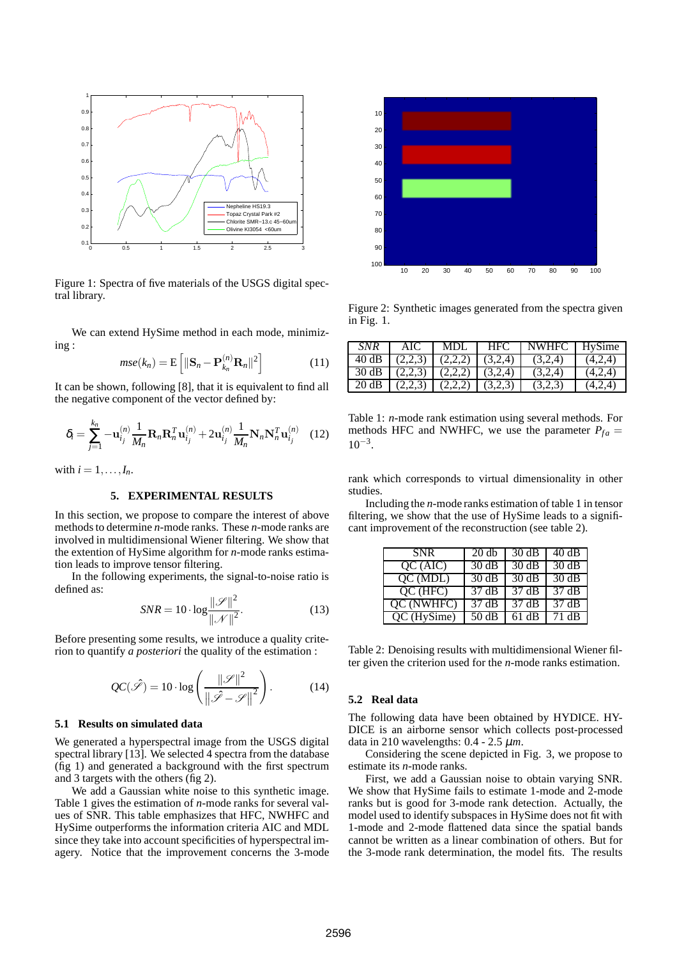

Figure 1: Spectra of five materials of the USGS digital spectral library.

We can extend HySime method in each mode, minimizing :

$$
mse(k_n) = \mathbf{E}\left[\|\mathbf{S}_n - \mathbf{P}_{k_n}^{(n)} \mathbf{R}_n\|^2\right] \tag{11}
$$

It can be shown, following [8], that it is equivalent to find all the negative component of the vector defined by:

$$
\delta_{i} = \sum_{j=1}^{k_{n}} -\mathbf{u}_{ij}^{(n)} \frac{1}{M_{n}} \mathbf{R}_{n} \mathbf{R}_{n}^{T} \mathbf{u}_{ij}^{(n)} + 2\mathbf{u}_{ij}^{(n)} \frac{1}{M_{n}} \mathbf{N}_{n} \mathbf{N}_{n}^{T} \mathbf{u}_{ij}^{(n)} \quad (12)
$$

with  $i = 1, \ldots, I_n$ .

## **5. EXPERIMENTAL RESULTS**

In this section, we propose to compare the interest of above methods to determine *n*-mode ranks. These *n*-mode ranks are involved in multidimensional Wiener filtering. We show that the extention of HySime algorithm for *n*-mode ranks estimation leads to improve tensor filtering.

In the following experiments, the signal-to-noise ratio is defined as:

$$
SNR = 10 \cdot \log \frac{\|\mathcal{S}\|^2}{\|\mathcal{N}\|^2}.
$$
 (13)

Before presenting some results, we introduce a quality criterion to quantify *a posteriori* the quality of the estimation :

$$
QC(\hat{\mathscr{S}}) = 10 \cdot \log \left( \frac{\|\mathscr{S}\|^2}{\|\hat{\mathscr{S}} - \mathscr{S}\|^2} \right). \tag{14}
$$

#### **5.1 Results on simulated data**

We generated a hyperspectral image from the USGS digital spectral library [13]. We selected 4 spectra from the database (fig 1) and generated a background with the first spectrum and 3 targets with the others (fig 2).

We add a Gaussian white noise to this synthetic image. Table 1 gives the estimation of *n*-mode ranks for several values of SNR. This table emphasizes that HFC, NWHFC and HySime outperforms the information criteria AIC and MDL since they take into account specificities of hyperspectral imagery. Notice that the improvement concerns the 3-mode



Figure 2: Synthetic images generated from the spectra given in Fig. 1.

| SNR                  | AIC:    | MDL.    | HFC.    | NWHFC   | HySime  |
|----------------------|---------|---------|---------|---------|---------|
| -40 dB               | (2,2,3) | (2.2.2) | (3.2.4) | (3,2,4) | (4,2,4) |
| $\overline{1}$ 30 dB | (2.2.3) | (2.2.2) | (3.2.4) | (3.2.4) | (4,2,4) |
| 20 dB                |         | (2,2,2) | (3,2,3) | (3,2,3) | (4,2,4) |

Table 1: *n*-mode rank estimation using several methods. For methods HFC and NWHFC, we use the parameter  $P_{fa}$  =  $10^{-3}$ .

rank which corresponds to virtual dimensionality in other studies.

Including the *n*-mode ranks estimation of table 1 in tensor filtering, we show that the use of HySime leads to a significant improvement of the reconstruction (see table 2).

| <b>SNR</b>               | 20 db | 30dB  | 40dB  |
|--------------------------|-------|-------|-------|
| OC (AIC)                 | 30dB  | 30 dB | 30dB  |
| QC(MDL)                  | 30dB  | 30dB  | 30dB  |
| OC(HFC)                  | 37dB  | 37dB  | 37 dB |
| QC (NWHFC)               | 37 dB | 37 dB | 37 dB |
| $\overline{QC}$ (HySime) | 50dB  | 61 dB | 71 dB |

Table 2: Denoising results with multidimensional Wiener filter given the criterion used for the *n*-mode ranks estimation.

#### **5.2 Real data**

The following data have been obtained by HYDICE. HY-DICE is an airborne sensor which collects post-processed data in 210 wavelengths: 0.4 - 2.5 µ*m*.

Considering the scene depicted in Fig. 3, we propose to estimate its *n*-mode ranks.

First, we add a Gaussian noise to obtain varying SNR. We show that HySime fails to estimate 1-mode and 2-mode ranks but is good for 3-mode rank detection. Actually, the model used to identify subspaces in HySime does not fit with 1-mode and 2-mode flattened data since the spatial bands cannot be written as a linear combination of others. But for the 3-mode rank determination, the model fits. The results